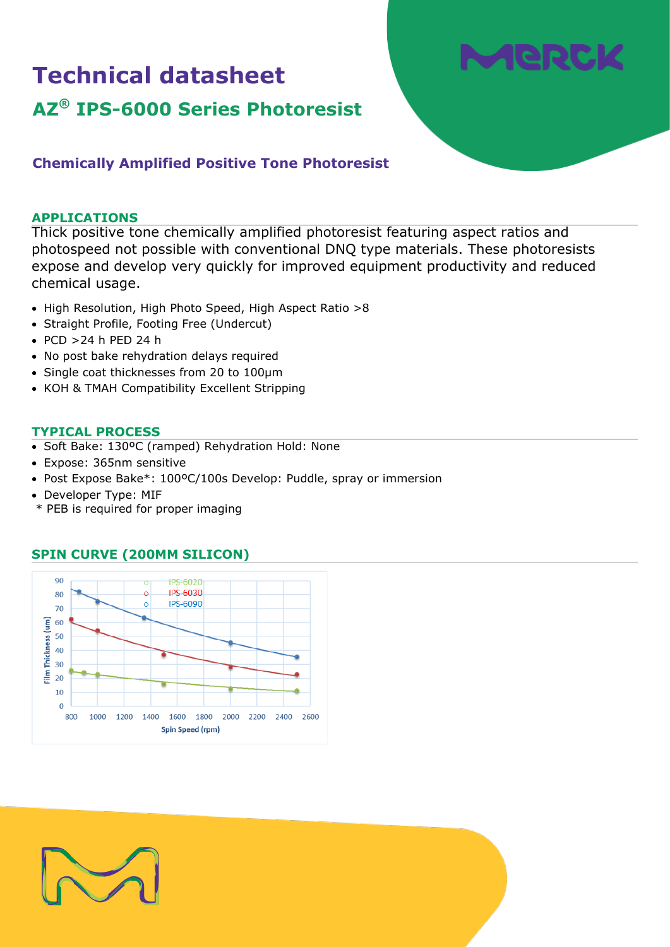## **Technical datasheet**

# . leir

### **AZ® IPS-6000 Series Photoresist**

#### **Chemically Amplified Positive Tone Photoresist**

#### **APPLICATIONS**

Thick positive tone chemically amplified photoresist featuring aspect ratios and photospeed not possible with conventional DNQ type materials. These photoresists expose and develop very quickly for improved equipment productivity and reduced chemical usage.

- High Resolution, High Photo Speed, High Aspect Ratio >8
- Straight Profile, Footing Free (Undercut)
- PCD >24 h PED 24 h
- No post bake rehydration delays required
- Single coat thicknesses from 20 to 100µm
- KOH & TMAH Compatibility Excellent Stripping

#### **TYPICAL PROCESS**

- Soft Bake: 130ºC (ramped) Rehydration Hold: None
- Expose: 365nm sensitive
- Post Expose Bake\*: 100ºC/100s Develop: Puddle, spray or immersion
- Developer Type: MIF
- \* PEB is required for proper imaging

#### **SPIN CURVE (200MM SILICON)**



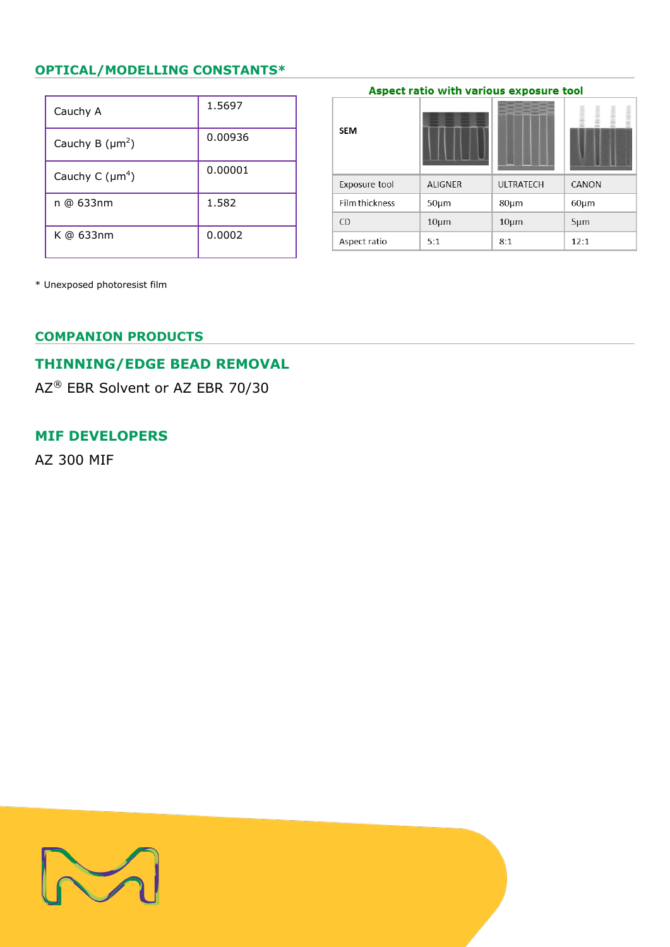#### **OPTICAL/MODELLING CONSTANTS\***

| Cauchy A             | 1.5697  |
|----------------------|---------|
| Cauchy B $(\mu m^2)$ | 0.00936 |
| Cauchy C $(\mu m^4)$ | 0.00001 |
| n @ 633nm            | 1.582   |
| K @ 633nm            | 0.0002  |

| <b>SEM</b>            |                |                  |            |
|-----------------------|----------------|------------------|------------|
| Exposure tool         | <b>ALIGNER</b> | <b>ULTRATECH</b> | CANON      |
| <b>Film thickness</b> | $50 \mu m$     | 80µm             | $60 \mu m$ |
| <b>CD</b>             | $10 \mu m$     | $10 \mu m$       | $5 \mu m$  |
| Aspect ratio          | 5:1            | 8:1              | 12:1       |

Aspect ratio with various exposure tool

\* Unexposed photoresist film

#### **COMPANION PRODUCTS**

#### **THINNING/EDGE BEAD REMOVAL**

AZ® EBR Solvent or AZ EBR 70/30

#### **MIF DEVELOPERS**

AZ 300 MIF

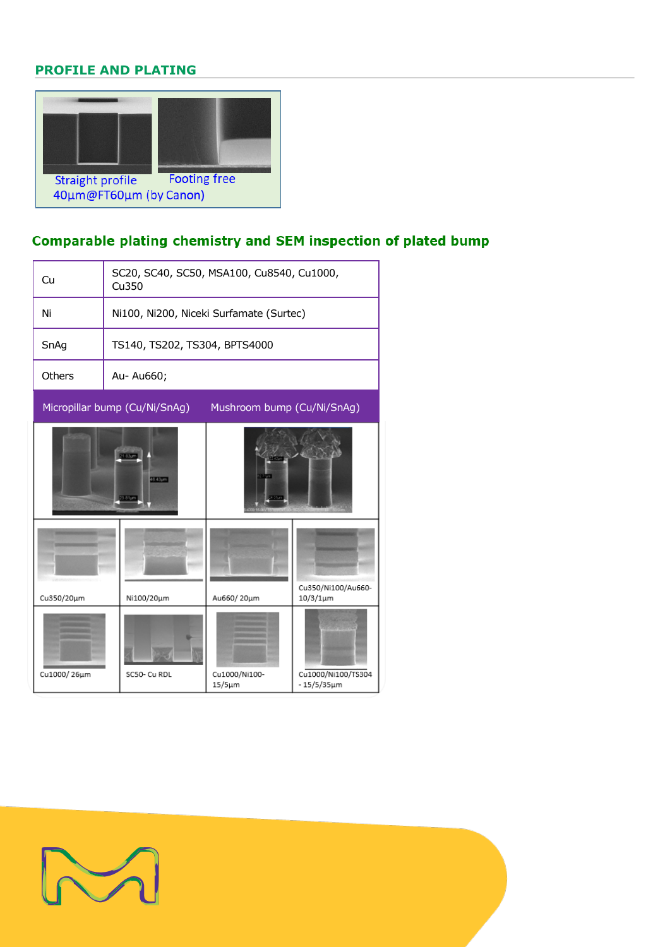#### **PROFILE AND PLATING**



#### Comparable plating chemistry and SEM inspection of plated bump

| Cu                                                          | SC20, SC40, SC50, MSA100, Cu8540, Cu1000,<br>Cu350 |                               |                                        |  |  |
|-------------------------------------------------------------|----------------------------------------------------|-------------------------------|----------------------------------------|--|--|
| Ni                                                          | Ni100, Ni200, Niceki Surfamate (Surtec)            |                               |                                        |  |  |
| SnAg                                                        | TS140, TS202, TS304, BPTS4000                      |                               |                                        |  |  |
| Others                                                      | Au- Au660;                                         |                               |                                        |  |  |
| Micropillar bump (Cu/Ni/SnAg)<br>Mushroom bump (Cu/Ni/SnAg) |                                                    |                               |                                        |  |  |
|                                                             | 21.83um<br>68.43pm<br>23 81um                      |                               |                                        |  |  |
| Cu350/20µm                                                  | Ni100/20µm                                         | Au660/20µm                    | Cu350/Ni100/Au660-<br>$10/3/1 \mu m$   |  |  |
| Cu1000/26µm                                                 | SC50- Cu RDL                                       | Cu1000/Ni100-<br>$15/5 \mu m$ | Cu1000/Ni100/TS304<br>$-15/5/35 \mu m$ |  |  |

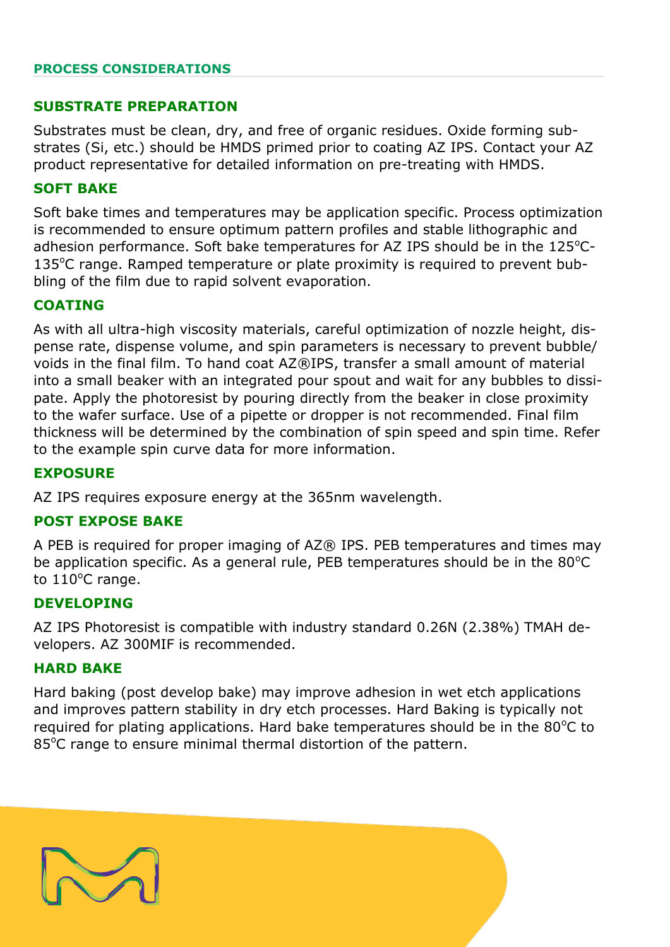#### **PROCESS CONSIDERATIONS**

#### **SUBSTRATE PREPARATION**

Substrates must be clean, dry, and free of organic residues. Oxide forming substrates (Si, etc.) should be HMDS primed prior to coating AZ IPS. Contact your AZ product representative for detailed information on pre-treating with HMDS.

#### **SOFT BAKE**

Soft bake times and temperatures may be application specific. Process optimization is recommended to ensure optimum pattern profiles and stable lithographic and adhesion performance. Soft bake temperatures for AZ IPS should be in the  $125^{\circ}$ C- $135^{\circ}$ C range. Ramped temperature or plate proximity is required to prevent bubbling of the film due to rapid solvent evaporation.

#### **COATING**

As with all ultra-high viscosity materials, careful optimization of nozzle height, dispense rate, dispense volume, and spin parameters is necessary to prevent bubble/ voids in the final film. To hand coat AZ®IPS, transfer a small amount of material into a small beaker with an integrated pour spout and wait for any bubbles to dissipate. Apply the photoresist by pouring directly from the beaker in close proximity to the wafer surface. Use of a pipette or dropper is not recommended. Final film thickness will be determined by the combination of spin speed and spin time. Refer to the example spin curve data for more information.

#### **EXPOSURE**

AZ IPS requires exposure energy at the 365nm wavelength.

#### **POST EXPOSE BAKE**

A PEB is required for proper imaging of AZ® IPS. PEB temperatures and times may be application specific. As a general rule, PEB temperatures should be in the  $80^{\circ}$ C to  $110^{\circ}$ C range.

#### **DEVELOPING**

AZ IPS Photoresist is compatible with industry standard 0.26N (2.38%) TMAH developers. AZ 300MIF is recommended.

#### **HARD BAKE**

Hard baking (post develop bake) may improve adhesion in wet etch applications and improves pattern stability in dry etch processes. Hard Baking is typically not required for plating applications. Hard bake temperatures should be in the  $80^{\circ}$ C to 85<sup>o</sup>C range to ensure minimal thermal distortion of the pattern.